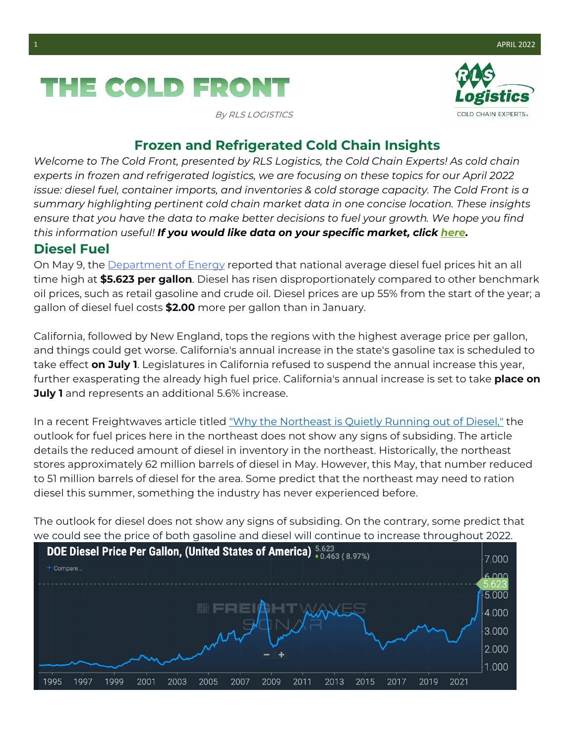# THE COLD FRONT

By RLS LOGISTICS



### **Frozen and Refrigerated Cold Chain Insights**

*Welcome to The Cold Front, presented by RLS Logistics, the Cold Chain Experts! As cold chain experts in frozen and refrigerated logistics, we are focusing on these topics for our April 2022 issue: diesel fuel, container imports, and inventories & cold storage capacity. The Cold Front is a summary highlighting pertinent cold chain market data in one concise location. These insights ensure that you have the data to make better decisions to fuel your growth. We hope you find this information useful! If you would like data on your specific market, click here.*

#### **Diesel Fuel**

On May 9, the Department of Energy reported that national average diesel fuel prices hit an all time high at **\$5.623 per gallon**. Diesel has risen disproportionately compared to other benchmark oil prices, such as retail gasoline and crude oil. Diesel prices are up 55% from the start of the year; a gallon of diesel fuel costs **\$2.00** more per gallon than in January.

California, followed by New England, tops the regions with the highest average price per gallon, and things could get worse. California's annual increase in the state's gasoline tax is scheduled to take effect **on July 1**. Legislatures in California refused to suspend the annual increase this year, further exasperating the already high fuel price. California's annual increase is set to take **place on July 1** and represents an additional 5.6% increase.

In a recent Freightwaves article titled "Why the Northeast is Quietly Running out of Diesel," the outlook for fuel prices here in the northeast does not show any signs of subsiding. The article details the reduced amount of diesel in inventory in the northeast. Historically, the northeast stores approximately 62 million barrels of diesel in May. However, this May, that number reduced to 51 million barrels of diesel for the area. Some predict that the northeast may need to ration diesel this summer, something the industry has never experienced before.

The outlook for diesel does not show any signs of subsiding. On the contrary, some predict that we could see the price of both gasoline and diesel will continue to increase throughout 2022.

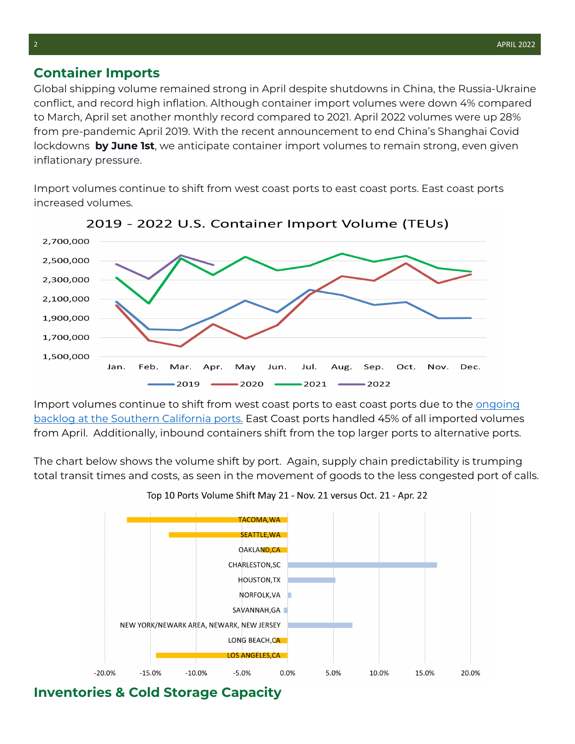#### **Container Imports**

Global shipping volume remained strong in April despite shutdowns in China, the Russia-Ukraine conflict, and record high inflation. Although container import volumes were down 4% compared to March, April set another monthly record compared to 2021. April 2022 volumes were up 28% from pre-pandemic April 2019. With the recent announcement to end China's Shanghai Covid lockdowns **by June 1st**, we anticipate container import volumes to remain strong, even given inflationary pressure.

Import volumes continue to shift from west coast ports to east coast ports. East coast ports increased volumes.





Import volumes continue to shift from west coast ports to east coast ports due to the [ongoing](https://rlslogistics.com/cold-chain-solutions-newsletter-july2021/)  [backlog at the Southern California ports.](https://rlslogistics.com/cold-chain-solutions-newsletter-july2021/) East Coast ports handled 45% of all imported volumes from April. Additionally, inbound containers shift from the top larger ports to alternative ports.

The chart below shows the volume shift by port. Again, supply chain predictability is trumping total transit times and costs, as seen in the movement of goods to the less congested port of calls.



Top 10 Ports Volume Shift May 21 - Nov. 21 versus Oct. 21 - Apr. 22

## **Inventories & Cold Storage Capacity**